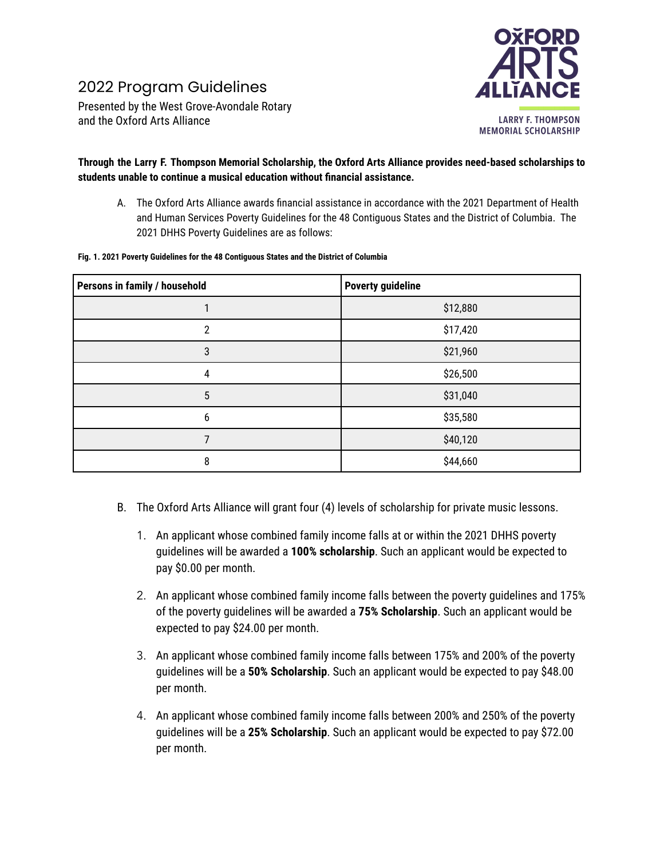## 2022 Program Guidelines

Presented by the West Grove-Avondale Rotary and the Oxford Arts Alliance



## **Through the Larry F. Thompson Memorial Scholarship, the Oxford Arts Alliance provides need-based scholarships to students unable to continue a musical education without financial assistance.**

A. The Oxford Arts Alliance awards financial assistance in accordance with the 2021 Department of Health and Human Services Poverty Guidelines for the 48 Contiguous States and the District of Columbia. The 2021 DHHS Poverty Guidelines are as follows:

|  | Fig. 1. 2021 Poverty Guidelines for the 48 Contiguous States and the District of Columbia |
|--|-------------------------------------------------------------------------------------------|
|  |                                                                                           |

| Persons in family / household | <b>Poverty guideline</b> |  |
|-------------------------------|--------------------------|--|
|                               | \$12,880                 |  |
| 2                             | \$17,420                 |  |
| 3                             | \$21,960                 |  |
| 4                             | \$26,500                 |  |
| 5                             | \$31,040                 |  |
| 6                             | \$35,580                 |  |
|                               | \$40,120                 |  |
| 8                             | \$44,660                 |  |

- B. The Oxford Arts Alliance will grant four (4) levels of scholarship for private music lessons.
	- 1. An applicant whose combined family income falls at or within the 2021 DHHS poverty guidelines will be awarded a **100% scholarship**. Such an applicant would be expected to pay \$0.00 per month.
	- 2. An applicant whose combined family income falls between the poverty guidelines and 175% of the poverty guidelines will be awarded a **75% Scholarship**. Such an applicant would be expected to pay \$24.00 per month.
	- 3. An applicant whose combined family income falls between 175% and 200% of the poverty guidelines will be a **50% Scholarship**. Such an applicant would be expected to pay \$48.00 per month.
	- 4. An applicant whose combined family income falls between 200% and 250% of the poverty guidelines will be a **25% Scholarship**. Such an applicant would be expected to pay \$72.00 per month.